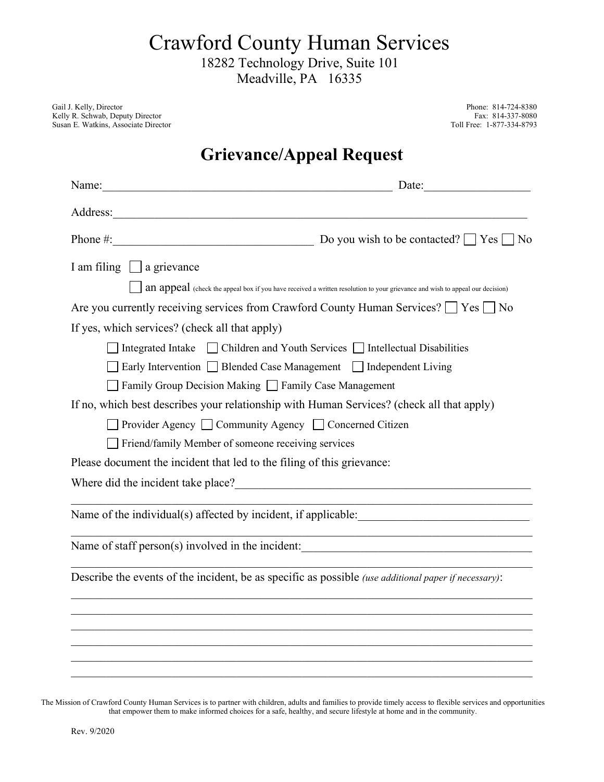Crawford County Human Services

18282 Technology Drive, Suite 101

Meadville, PA 16335

Gail J. Kelly, Director Phone: 814-724-8380<br>
Kelly R. Schwab, Deputy Director Fax: 814-337-8080 Kelly R. Schwab, Deputy Director Fax: 814-337-8080<br>
Susan E. Watkins, Associate Director Fax: 614-337-8080<br>
Toll Free: 1-877-334-8793 Susan E. Watkins, Associate Director

## **Grievance/Appeal Request**

| Name: Name and the set of the set of the set of the set of the set of the set of the set of the set of the set of the set of the set of the set of the set of the set of the set of the set of the set of the set of the set o | Date:                                                                                                                |
|--------------------------------------------------------------------------------------------------------------------------------------------------------------------------------------------------------------------------------|----------------------------------------------------------------------------------------------------------------------|
|                                                                                                                                                                                                                                |                                                                                                                      |
| Phone #: $\qquad \qquad$ Do you wish to be contacted? $\Box$ Yes $\Box$ No                                                                                                                                                     |                                                                                                                      |
| I am filing $\Box$ a grievance                                                                                                                                                                                                 |                                                                                                                      |
| an appeal (check the appeal box if you have received a written resolution to your grievance and wish to appeal our decision)                                                                                                   |                                                                                                                      |
| Are you currently receiving services from Crawford County Human Services? $\Box$ Yes $\Box$ No                                                                                                                                 |                                                                                                                      |
| If yes, which services? (check all that apply)                                                                                                                                                                                 |                                                                                                                      |
| $\Box$ Integrated Intake $\Box$ Children and Youth Services $\Box$ Intellectual Disabilities                                                                                                                                   |                                                                                                                      |
| □ Early Intervention □ Blended Case Management □ Independent Living                                                                                                                                                            |                                                                                                                      |
| Family Group Decision Making Family Case Management                                                                                                                                                                            |                                                                                                                      |
| If no, which best describes your relationship with Human Services? (check all that apply)                                                                                                                                      |                                                                                                                      |
| □ Provider Agency □ Community Agency □ Concerned Citizen                                                                                                                                                                       |                                                                                                                      |
| Friend/family Member of someone receiving services                                                                                                                                                                             |                                                                                                                      |
| Please document the incident that led to the filing of this grievance:                                                                                                                                                         |                                                                                                                      |
| Where did the incident take place?<br><u> Where did the incident take place?</u>                                                                                                                                               |                                                                                                                      |
|                                                                                                                                                                                                                                |                                                                                                                      |
|                                                                                                                                                                                                                                | <u> 1989 - Johann Stein, marwolaethau a bhann an t-Amhair ann an t-Amhair an t-Amhair an t-Amhair an t-Amhair an</u> |
| Describe the events of the incident, be as specific as possible (use additional paper if necessary):                                                                                                                           |                                                                                                                      |
|                                                                                                                                                                                                                                |                                                                                                                      |
|                                                                                                                                                                                                                                |                                                                                                                      |
|                                                                                                                                                                                                                                |                                                                                                                      |
|                                                                                                                                                                                                                                |                                                                                                                      |

The Mission of Crawford County Human Services is to partner with children, adults and families to provide timely access to flexible services and opportunities that empower them to make informed choices for a safe, healthy, and secure lifestyle at home and in the community.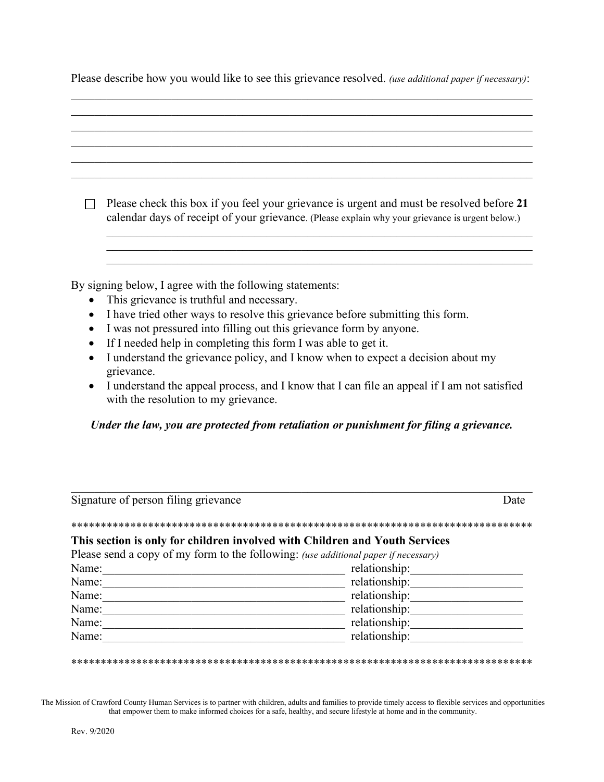|  |  |  | Please describe how you would like to see this grievance resolved. (use additional paper if necessary): |
|--|--|--|---------------------------------------------------------------------------------------------------------|
|  |  |  |                                                                                                         |

|           | Please check this box if you feel your grievance is urgent and must be resolved before 21<br>calendar days of receipt of your grievance. (Please explain why your grievance is urgent below.) |
|-----------|-----------------------------------------------------------------------------------------------------------------------------------------------------------------------------------------------|
|           |                                                                                                                                                                                               |
|           |                                                                                                                                                                                               |
|           | By signing below, I agree with the following statements:                                                                                                                                      |
|           | This grievance is truthful and necessary.                                                                                                                                                     |
| $\bullet$ | I have tried other ways to resolve this grievance before submitting this form.                                                                                                                |
| $\bullet$ | I was not pressured into filling out this grievance form by anyone.                                                                                                                           |
|           | If I needed help in completing this form I was able to get it.                                                                                                                                |

- I understand the grievance policy, and I know when to expect a decision about my grievance.
- I understand the appeal process, and I know that I can file an appeal if I am not satisfied with the resolution to my grievance.

## *Under the law, you are protected from retaliation or punishment for filing a grievance.*

| Signature of person filing grievance | Date                                                                                       |
|--------------------------------------|--------------------------------------------------------------------------------------------|
|                                      |                                                                                            |
|                                      | This section is only for children involved with Children and Youth Services                |
|                                      | Please send a copy of my form to the following: <i>(use additional paper if necessary)</i> |
| Name:                                | relationship:                                                                              |
| Name:                                | relationship:                                                                              |
| Name:                                | relationship:                                                                              |
|                                      |                                                                                            |
| Name:                                | relationship:                                                                              |
| Name:                                | relationship:                                                                              |

\*\*\*\*\*\*\*\*\*\*\*\*\*\*\*\*\*\*\*\*\*\*\*\*\*\*\*\*\*\*\*\*\*\*\*\*\*\*\*\*\*\*\*\*\*\*\*\*\*\*\*\*\*\*\*\*\*\*\*\*\*\*\*\*\*\*\*\*\*\*\*\*\*\*\*\*\*\*

The Mission of Crawford County Human Services is to partner with children, adults and families to provide timely access to flexible services and opportunities that empower them to make informed choices for a safe, healthy, and secure lifestyle at home and in the community.